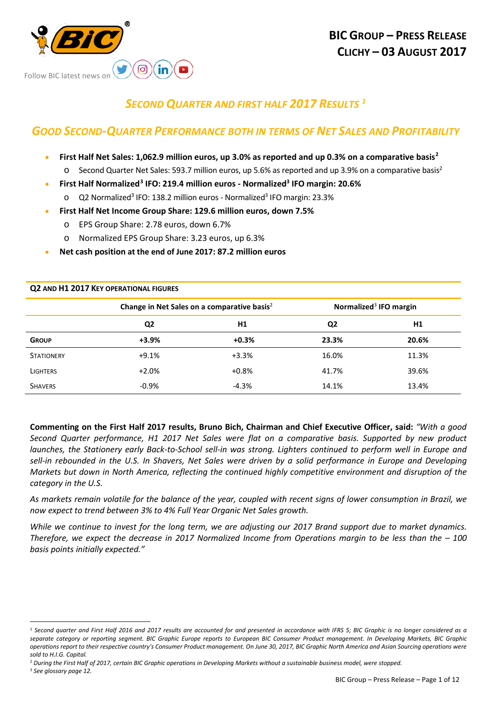

**Q2 AND H1 2017 KEY OPERATIONAL FIGURES**

# *SECOND QUARTER AND FIRST HALF 2017 RESULTS [1](#page-0-0)*

# *GOOD SECOND-QUARTER PERFORMANCE BOTH IN TERMS OF NET SALES AND PROFITABILITY*

- **First Half Net Sales: 1,062.9 million euros, up 3.0% as reported and up 0.3% on a comparative basis[2](#page-0-1)**
	- $\circ$  Second Quarter Net Sales: 593.7 million euros, up 5.6% as reported and up 3.9% on a comparative basis<sup>2</sup>
- **First Half Normalized[3](#page-0-2) IFO: 219.4 million euros - Normalized3 IFO margin: 20.6%**
	- o Q2 Normalized<sup>3</sup> IFO: 138.2 million euros Normalized<sup>3</sup> IFO margin: 23.3%
- **First Half Net Income Group Share: 129.6 million euros, down 7.5%** 
	- EPS Group Share: 2.78 euros, down 6.7%
	- o Normalized EPS Group Share: 3.23 euros, up 6.3%
- **Net cash position at the end of June 2017: 87.2 million euros**

|                   |                | Change in Net Sales on a comparative basis <sup>2</sup> |                | Normalized <sup>3</sup> IFO margin |
|-------------------|----------------|---------------------------------------------------------|----------------|------------------------------------|
|                   | Q <sub>2</sub> | H1                                                      | Q <sub>2</sub> | H1                                 |
| <b>GROUP</b>      | $+3.9%$        | $+0.3%$                                                 | 23.3%          | 20.6%                              |
| <b>STATIONERY</b> | $+9.1%$        | $+3.3%$                                                 | 16.0%          | 11.3%                              |
| <b>LIGHTERS</b>   | $+2.0%$        | $+0.8%$                                                 | 41.7%          | 39.6%                              |
| <b>SHAVERS</b>    | $-0.9%$        | $-4.3%$                                                 | 14.1%          | 13.4%                              |

**Commenting on the First Half 2017 results, Bruno Bich, Chairman and Chief Executive Officer, said:** *"With a good Second Quarter performance, H1 2017 Net Sales were flat on a comparative basis. Supported by new product launches, the Stationery early Back-to-School sell-in was strong. Lighters continued to perform well in Europe and sell-in rebounded in the U.S. In Shavers, Net Sales were driven by a solid performance in Europe and Developing Markets but down in North America, reflecting the continued highly competitive environment and disruption of the category in the U.S.*

*As markets remain volatile for the balance of the year, coupled with recent signs of lower consumption in Brazil, we now expect to trend between 3% to 4% Full Year Organic Net Sales growth.*

*While we continue to invest for the long term, we are adjusting our 2017 Brand support due to market dynamics. Therefore, we expect the decrease in 2017 Normalized Income from Operations margin to be less than the – 100 basis points initially expected."*

<span id="page-0-2"></span><span id="page-0-1"></span><sup>2</sup> *During the First Half of 2017, certain BIC Graphic operations in Developing Markets without a sustainable business model, were stopped.* <sup>3</sup> *See glossary page 12.*

<span id="page-0-0"></span><sup>-</sup><sup>1</sup> Second quarter and First Half 2016 and 2017 results are accounted for and presented in accordance with IFRS 5; BIC Graphic is no longer considered as a *separate category or reporting segment. BIC Graphic Europe reports to European BIC Consumer Product management. In Developing Markets, BIC Graphic operations report to their respective country's Consumer Product management. On June 30, 2017, BIC Graphic North America and Asian Sourcing operations were sold to H.I.G. Capital.*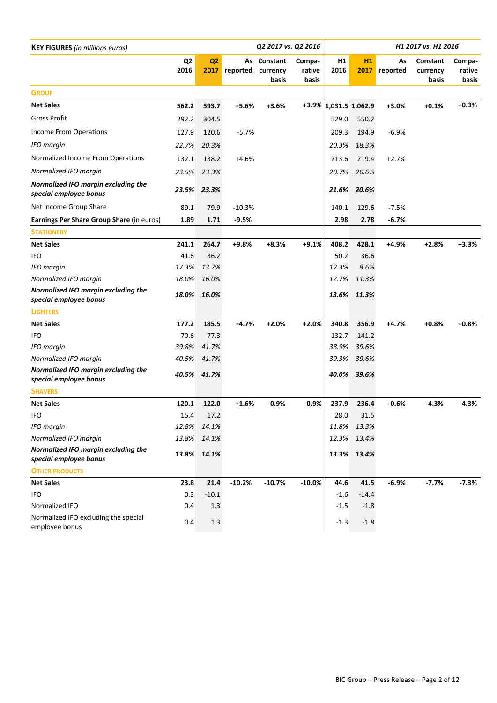| <b>KEY FIGURES</b> (in millions euros)                        |                        |                        |          | Q2 2017 vs. Q2 2016              |                           |                       |            |                | H1 2017 vs. H1 2016           |                           |
|---------------------------------------------------------------|------------------------|------------------------|----------|----------------------------------|---------------------------|-----------------------|------------|----------------|-------------------------------|---------------------------|
|                                                               | Q <sub>2</sub><br>2016 | Q <sub>2</sub><br>2017 | reported | As Constant<br>currency<br>basis | Compa-<br>rative<br>basis | H1<br>2016            | H1<br>2017 | As<br>reported | Constant<br>currency<br>basis | Compa-<br>rative<br>basis |
| <b>GROUP</b>                                                  |                        |                        |          |                                  |                           |                       |            |                |                               |                           |
| <b>Net Sales</b>                                              | 562.2                  | 593.7                  | $+5.6%$  | $+3.6%$                          |                           | +3.9% 1,031.5 1,062.9 |            | $+3.0%$        | $+0.1%$                       | $+0.3%$                   |
| <b>Gross Profit</b>                                           | 292.2                  | 304.5                  |          |                                  |                           | 529.0                 | 550.2      |                |                               |                           |
| <b>Income From Operations</b>                                 | 127.9                  | 120.6                  | $-5.7%$  |                                  |                           | 209.3                 | 194.9      | $-6.9%$        |                               |                           |
| <b>IFO</b> margin                                             | 22.7%                  | 20.3%                  |          |                                  |                           | 20.3%                 | 18.3%      |                |                               |                           |
| Normalized Income From Operations                             | 132.1                  | 138.2                  | $+4.6%$  |                                  |                           | 213.6                 | 219.4      | $+2.7%$        |                               |                           |
| Normalized IFO margin                                         | 23.5%                  | 23.3%                  |          |                                  |                           | 20.7%                 | 20.6%      |                |                               |                           |
| Normalized IFO margin excluding the<br>special employee bonus | 23.5%                  | 23.3%                  |          |                                  |                           | 21.6%                 | 20.6%      |                |                               |                           |
| Net Income Group Share                                        | 89.1                   | 79.9                   | $-10.3%$ |                                  |                           | 140.1                 | 129.6      | $-7.5%$        |                               |                           |
| Earnings Per Share Group Share (in euros)                     | 1.89                   | 1.71                   | $-9.5%$  |                                  |                           | 2.98                  | 2.78       | $-6.7%$        |                               |                           |
| <b>STATIONERY</b>                                             |                        |                        |          |                                  |                           |                       |            |                |                               |                           |
| <b>Net Sales</b>                                              | 241.1                  | 264.7                  | +9.8%    | $+8.3%$                          | $+9.1%$                   | 408.2                 | 428.1      | $+4.9%$        | $+2.8%$                       | $+3.3%$                   |
| <b>IFO</b>                                                    | 41.6                   | 36.2                   |          |                                  |                           | 50.2                  | 36.6       |                |                               |                           |
| <b>IFO</b> margin                                             | 17.3%                  | 13.7%                  |          |                                  |                           | 12.3%                 | 8.6%       |                |                               |                           |
| Normalized IFO margin                                         | 18.0%                  | 16.0%                  |          |                                  |                           | 12.7%                 | 11.3%      |                |                               |                           |
| Normalized IFO margin excluding the<br>special employee bonus | 18.0%                  | 16.0%                  |          |                                  |                           | 13.6%                 | 11.3%      |                |                               |                           |
| <b>LIGHTERS</b>                                               |                        |                        |          |                                  |                           |                       |            |                |                               |                           |
| <b>Net Sales</b>                                              | 177.2                  | 185.5                  | $+4.7%$  | $+2.0%$                          | $+2.0%$                   | 340.8                 | 356.9      | $+4.7%$        | $+0.8%$                       | $+0.8%$                   |
| <b>IFO</b>                                                    | 70.6                   | 77.3                   |          |                                  |                           | 132.7                 | 141.2      |                |                               |                           |
| <b>IFO</b> margin                                             | 39.8%                  | 41.7%                  |          |                                  |                           | 38.9%                 | 39.6%      |                |                               |                           |
| Normalized IFO margin                                         | 40.5%                  | 41.7%                  |          |                                  |                           | 39.3%                 | 39.6%      |                |                               |                           |
| Normalized IFO margin excluding the<br>special employee bonus |                        | 40.5% 41.7%            |          |                                  |                           | 40.0%                 | 39.6%      |                |                               |                           |
| <b>SHAVERS</b>                                                |                        |                        |          |                                  |                           |                       |            |                |                               |                           |
| <b>Net Sales</b>                                              | 120.1                  | 122.0                  | $+1.6%$  | $-0.9%$                          | $-0.9%$                   | 237.9                 | 236.4      | $-0.6%$        | -4.3%                         | $-4.3%$                   |
| <b>IFO</b>                                                    | 15.4                   | 17.2                   |          |                                  |                           | 28.0                  | 31.5       |                |                               |                           |
| <b>IFO</b> margin                                             | 12.8%                  | 14.1%                  |          |                                  |                           | 11.8%                 | 13.3%      |                |                               |                           |
| Normalized IFO margin                                         | 13.8%                  | 14.1%                  |          |                                  |                           | 12.3%                 | 13.4%      |                |                               |                           |
| Normalized IFO margin excluding the<br>special employee bonus |                        | 13.8% 14.1%            |          |                                  |                           | 13.3%                 | 13.4%      |                |                               |                           |
| <b>OTHER PRODUCTS</b>                                         |                        |                        |          |                                  |                           |                       |            |                |                               |                           |
| <b>Net Sales</b>                                              | 23.8                   | 21.4                   | $-10.2%$ | $-10.7%$                         | $-10.0%$                  | 44.6                  | 41.5       | $-6.9%$        | $-7.7%$                       | $-7.3%$                   |
| IFO                                                           | 0.3                    | $-10.1$                |          |                                  |                           | $-1.6$                | $-14.4$    |                |                               |                           |
| Normalized IFO                                                | 0.4                    | 1.3                    |          |                                  |                           | $-1.5$                | $-1.8$     |                |                               |                           |
| Normalized IFO excluding the special<br>employee bonus        | 0.4                    | 1.3                    |          |                                  |                           | $-1.3$                | $-1.8$     |                |                               |                           |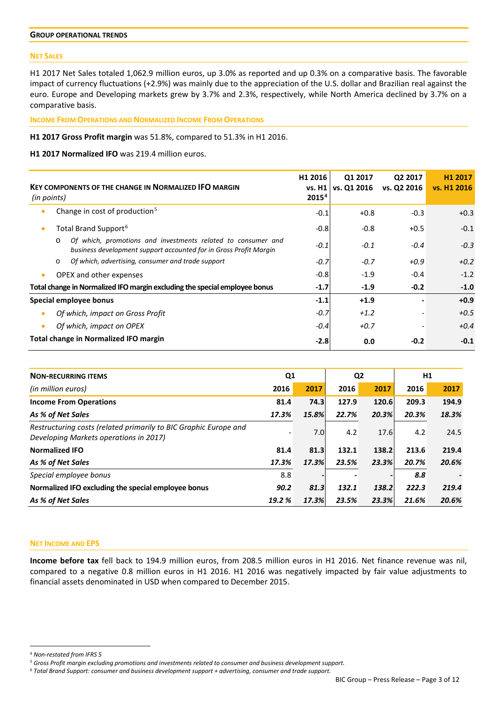## **GROUP OPERATIONAL TRENDS**

### **NET SALES**

H1 2017 Net Sales totaled 1,062.9 million euros, up 3.0% as reported and up 0.3% on a comparative basis. The favorable impact of currency fluctuations (+2.9%) was mainly due to the appreciation of the U.S. dollar and Brazilian real against the euro. Europe and Developing markets grew by 3.7% and 2.3%, respectively, while North America declined by 3.7% on a comparative basis.

**INCOME FROM OPERATIONS AND NORMALIZED INCOME FROM OPERATIONS**

**H1 2017 Gross Profit margin** was 51.8%, compared to 51.3% in H1 2016.

## **H1 2017 Normalized IFO** was 219.4 million euros.

| (in points) | <b>KEY COMPONENTS OF THE CHANGE IN NORMALIZED IFO MARGIN</b>                                                                                 | H1 2016<br>vs. H1<br>2015 <sup>4</sup> | Q1 2017<br>vs. Q1 2016 | Q <sub>2</sub> 2017<br>vs. Q2 2016 | H <sub>1</sub> 2017<br>vs. H1 2016 |
|-------------|----------------------------------------------------------------------------------------------------------------------------------------------|----------------------------------------|------------------------|------------------------------------|------------------------------------|
| $\bullet$   | Change in cost of production <sup>5</sup>                                                                                                    | $-0.1$                                 | $+0.8$                 | $-0.3$                             | $+0.3$                             |
| ۰           | Total Brand Support <sup>6</sup>                                                                                                             | $-0.8$                                 | $-0.8$                 | $+0.5$                             | $-0.1$                             |
|             | Of which, promotions and investments related to consumer and<br>$\circ$<br>business development support accounted for in Gross Profit Margin | $-0.1$                                 | $-0.1$                 | $-0.4$                             | $-0.3$                             |
|             | Of which, advertising, consumer and trade support<br>$\circ$                                                                                 | $-0.7$                                 | $-0.7$                 | $+0.9$                             | $+0.2$                             |
| $\bullet$   | <b>OPEX and other expenses</b>                                                                                                               | $-0.8$                                 | $-1.9$                 | $-0.4$                             | $-1.2$                             |
|             | Total change in Normalized IFO margin excluding the special employee bonus                                                                   | $-1.7$                                 | $-1.9$                 | $-0.2$                             | $-1.0$                             |
|             | Special employee bonus                                                                                                                       | $-1.1$                                 | $+1.9$                 |                                    | $+0.9$                             |
|             | Of which, impact on Gross Profit                                                                                                             | $-0.7$                                 | $+1.2$                 |                                    | $+0.5$                             |
| ۰           | Of which, impact on OPEX                                                                                                                     | $-0.4$                                 | $+0.7$                 |                                    | $+0.4$                             |
|             | <b>Total change in Normalized IFO margin</b>                                                                                                 | $-2.8$                                 | 0.0                    | $-0.2$                             | $-0.1$                             |

| <b>NON-RECURRING ITEMS</b>                                                                                 | Q <sub>1</sub>           |                  | Q <sub>2</sub> |       | H1    |       |
|------------------------------------------------------------------------------------------------------------|--------------------------|------------------|----------------|-------|-------|-------|
| (in million euros)                                                                                         | 2016                     | 2017             | 2016           | 2017  | 2016  | 2017  |
| <b>Income From Operations</b>                                                                              | 81.4                     | 74.3             | 127.9          | 120.6 | 209.3 | 194.9 |
| As % of Net Sales                                                                                          | 17.3%                    | 15.8%            | 22.7%          | 20.3% | 20.3% | 18.3% |
| Restructuring costs (related primarily to BIC Graphic Europe and<br>Developing Markets operations in 2017) | $\overline{\phantom{a}}$ | 7.0 <sub>l</sub> | 4.2            | 17.6  | 4.2   | 24.5  |
| <b>Normalized IFO</b>                                                                                      | 81.4                     | 81.3             | 132.1          | 138.2 | 213.6 | 219.4 |
| As % of Net Sales                                                                                          | 17.3%                    | 17.3%            | 23.5%          | 23.3% | 20.7% | 20.6% |
| Special employee bonus                                                                                     | 8.8                      |                  |                |       | 8.8   |       |
| Normalized IFO excluding the special employee bonus                                                        | 90.2                     | 81.3             | 132.1          | 138.2 | 222.3 | 219.4 |
| As % of Net Sales                                                                                          | 19.2 %                   | 17.3%            | 23.5%          | 23.3% | 21.6% | 20.6% |

# **NET INCOME AND EPS**

**Income before tax** fell back to 194.9 million euros, from 208.5 million euros in H1 2016. Net finance revenue was nil, compared to a negative 0.8 million euros in H1 2016. H1 2016 was negatively impacted by fair value adjustments to financial assets denominated in USD when compared to December 2015.

-

<span id="page-2-0"></span><sup>4</sup> *Non-restated from IFRS 5*

<span id="page-2-1"></span>*<sup>5</sup> Gross Profit margin excluding promotions and investments related to consumer and business development support.*

<span id="page-2-2"></span><sup>6</sup> *Total Brand Support: consumer and business development support + advertising, consumer and trade support.*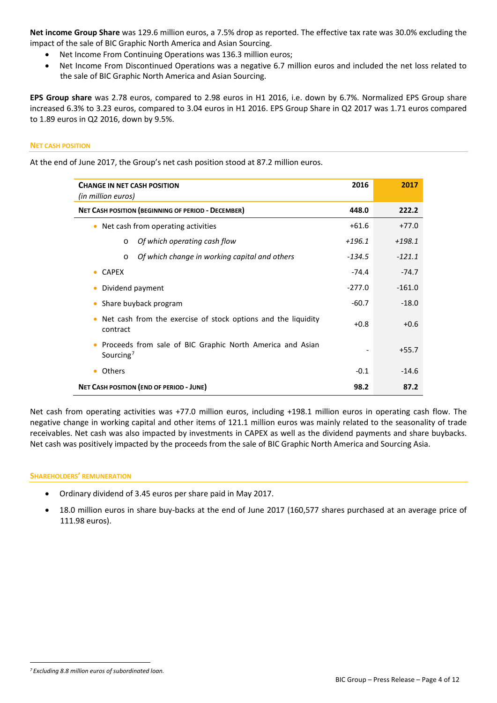**Net income Group Share** was 129.6 million euros, a 7.5% drop as reported. The effective tax rate was 30.0% excluding the impact of the sale of BIC Graphic North America and Asian Sourcing.

- Net Income From Continuing Operations was 136.3 million euros;
- Net Income From Discontinued Operations was a negative 6.7 million euros and included the net loss related to the sale of BIC Graphic North America and Asian Sourcing.

**EPS Group share** was 2.78 euros, compared to 2.98 euros in H1 2016, i.e. down by 6.7%. Normalized EPS Group share increased 6.3% to 3.23 euros, compared to 3.04 euros in H1 2016. EPS Group Share in Q2 2017 was 1.71 euros compared to 1.89 euros in Q2 2016, down by 9.5%.

## **NET CASH POSITION**

At the end of June 2017, the Group's net cash position stood at 87.2 million euros.

| <b>CHANGE IN NET CASH POSITION</b><br>(in million euros)                                        | 2016     | 2017     |
|-------------------------------------------------------------------------------------------------|----------|----------|
| <b>NET CASH POSITION (BEGINNING OF PERIOD - DECEMBER)</b>                                       | 448.0    | 222.2    |
| Net cash from operating activities<br>۰                                                         | $+61.6$  | $+77.0$  |
| Of which operating cash flow<br>$\circ$                                                         | $+196.1$ | $+198.1$ |
| Of which change in working capital and others<br>$\circ$                                        | $-134.5$ | $-121.1$ |
| <b>CAPEX</b><br>$\bullet$                                                                       | $-74.4$  | $-74.7$  |
| Dividend payment                                                                                | $-277.0$ | $-161.0$ |
| Share buyback program                                                                           | $-60.7$  | $-18.0$  |
| Net cash from the exercise of stock options and the liquidity<br>contract                       | $+0.8$   | $+0.6$   |
| Proceeds from sale of BIC Graphic North America and Asian<br>$\bullet$<br>Sourcing <sup>7</sup> |          | $+55.7$  |
| <b>Others</b><br>٠                                                                              | $-0.1$   | $-14.6$  |
| <b>NET CASH POSITION (END OF PERIOD - JUNE)</b>                                                 | 98.2     | 87.2     |

Net cash from operating activities was +77.0 million euros, including +198.1 million euros in operating cash flow. The negative change in working capital and other items of 121.1 million euros was mainly related to the seasonality of trade receivables. Net cash was also impacted by investments in CAPEX as well as the dividend payments and share buybacks. Net cash was positively impacted by the proceeds from the sale of BIC Graphic North America and Sourcing Asia.

### **SHAREHOLDERS' REMUNERATION**

- Ordinary dividend of 3.45 euros per share paid in May 2017.
- 18.0 million euros in share buy-backs at the end of June 2017 (160,577 shares purchased at an average price of 111.98 euros).

<span id="page-3-0"></span><sup>&</sup>lt;u>.</u> *<sup>7</sup> Excluding 8.8 million euros of subordinated loan.*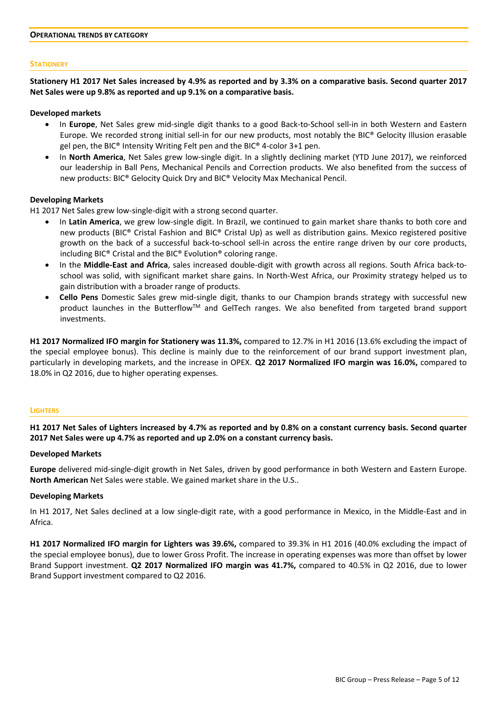### **STATIONERY**

**Stationery H1 2017 Net Sales increased by 4.9% as reported and by 3.3% on a comparative basis. Second quarter 2017 Net Sales were up 9.8% as reported and up 9.1% on a comparative basis.**

#### **Developed markets**

- In **Europe**, Net Sales grew mid-single digit thanks to a good Back-to-School sell-in in both Western and Eastern Europe. We recorded strong initial sell-in for our new products, most notably the BIC® Gelocity Illusion erasable gel pen, the BIC® Intensity Writing Felt pen and the BIC® 4-color 3+1 pen.
- In **North America**, Net Sales grew low-single digit. In a slightly declining market (YTD June 2017), we reinforced our leadership in Ball Pens, Mechanical Pencils and Correction products. We also benefited from the success of new products: BIC® Gelocity Quick Dry and BIC® Velocity Max Mechanical Pencil.

### **Developing Markets**

H1 2017 Net Sales grew low-single-digit with a strong second quarter.

- In **Latin America**, we grew low-single digit. In Brazil, we continued to gain market share thanks to both core and new products (BIC® Cristal Fashion and BIC® Cristal Up) as well as distribution gains. Mexico registered positive growth on the back of a successful back-to-school sell-in across the entire range driven by our core products, including BIC® Cristal and the BIC® Evolution® coloring range.
- In the **Middle-East and Africa**, sales increased double-digit with growth across all regions. South Africa back-toschool was solid, with significant market share gains. In North-West Africa, our Proximity strategy helped us to gain distribution with a broader range of products.
- **Cello Pens** Domestic Sales grew mid-single digit, thanks to our Champion brands strategy with successful new product launches in the ButterflowTM and GelTech ranges. We also benefited from targeted brand support investments.

**H1 2017 Normalized IFO margin for Stationery was 11.3%,** compared to 12.7% in H1 2016 (13.6% excluding the impact of the special employee bonus). This decline is mainly due to the reinforcement of our brand support investment plan, particularly in developing markets, and the increase in OPEX. **Q2 2017 Normalized IFO margin was 16.0%,** compared to 18.0% in Q2 2016, due to higher operating expenses.

#### **LIGHTERS**

# **H1 2017 Net Sales of Lighters increased by 4.7% as reported and by 0.8% on a constant currency basis. Second quarter 2017 Net Sales were up 4.7% as reported and up 2.0% on a constant currency basis.**

### **Developed Markets**

**Europe** delivered mid-single-digit growth in Net Sales, driven by good performance in both Western and Eastern Europe. **North American** Net Sales were stable. We gained market share in the U.S..

## **Developing Markets**

In H1 2017, Net Sales declined at a low single-digit rate, with a good performance in Mexico, in the Middle-East and in Africa.

**H1 2017 Normalized IFO margin for Lighters was 39.6%,** compared to 39.3% in H1 2016 (40.0% excluding the impact of the special employee bonus), due to lower Gross Profit. The increase in operating expenses was more than offset by lower Brand Support investment. **Q2 2017 Normalized IFO margin was 41.7%,** compared to 40.5% in Q2 2016, due to lower Brand Support investment compared to Q2 2016.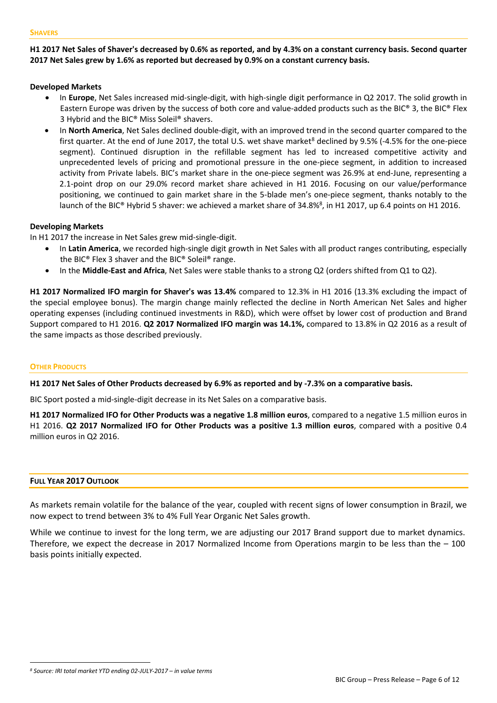# **H1 2017 Net Sales of Shaver's decreased by 0.6% as reported, and by 4.3% on a constant currency basis. Second quarter 2017 Net Sales grew by 1.6% as reported but decreased by 0.9% on a constant currency basis.**

# **Developed Markets**

- In **Europe**, Net Sales increased mid-single-digit, with high-single digit performance in Q2 2017. The solid growth in Eastern Europe was driven by the success of both core and value-added products such as the BIC® 3, the BIC® Flex 3 Hybrid and the BIC® Miss Soleil® shavers.
- In **North America**, Net Sales declined double-digit, with an improved trend in the second quarter compared to the first quarter. At the end of June 2017, the total U.S. wet shave market $8$  declined by 9.5% (-4.5% for the one-piece segment). Continued disruption in the refillable segment has led to increased competitive activity and unprecedented levels of pricing and promotional pressure in the one-piece segment, in addition to increased activity from Private labels. BIC's market share in the one-piece segment was 26.9% at end-June, representing a 2.1-point drop on our 29.0% record market share achieved in H1 2016. Focusing on our value/performance positioning, we continued to gain market share in the 5-blade men's one-piece segment, thanks notably to the launch of the BIC® Hybrid 5 shaver: we achieved a market share of 34.8%<sup>8</sup>, in H1 2017, up 6.4 points on H1 2016.

# **Developing Markets**

In H1 2017 the increase in Net Sales grew mid-single-digit.

- In **Latin America**, we recorded high-single digit growth in Net Sales with all product ranges contributing, especially the BIC® Flex 3 shaver and the BIC® Soleil® range.
- In the **Middle-East and Africa**, Net Sales were stable thanks to a strong Q2 (orders shifted from Q1 to Q2).

**H1 2017 Normalized IFO margin for Shaver's was 13.4%** compared to 12.3% in H1 2016 (13.3% excluding the impact of the special employee bonus). The margin change mainly reflected the decline in North American Net Sales and higher operating expenses (including continued investments in R&D), which were offset by lower cost of production and Brand Support compared to H1 2016. **Q2 2017 Normalized IFO margin was 14.1%,** compared to 13.8% in Q2 2016 as a result of the same impacts as those described previously.

# **OTHER PRODUCTS**

**H1 2017 Net Sales of Other Products decreased by 6.9% as reported and by -7.3% on a comparative basis.** 

BIC Sport posted a mid-single-digit decrease in its Net Sales on a comparative basis.

**H1 2017 Normalized IFO for Other Products was a negative 1.8 million euros**, compared to a negative 1.5 million euros in H1 2016. **Q2 2017 Normalized IFO for Other Products was a positive 1.3 million euros**, compared with a positive 0.4 million euros in Q2 2016.

# **FULL YEAR 2017 OUTLOOK**

<u>.</u>

As markets remain volatile for the balance of the year, coupled with recent signs of lower consumption in Brazil, we now expect to trend between 3% to 4% Full Year Organic Net Sales growth.

While we continue to invest for the long term, we are adjusting our 2017 Brand support due to market dynamics. Therefore, we expect the decrease in 2017 Normalized Income from Operations margin to be less than the  $-100$ basis points initially expected.

<span id="page-5-0"></span>*<sup>8</sup> Source: IRI total market YTD ending 02-JULY-2017 – in value terms*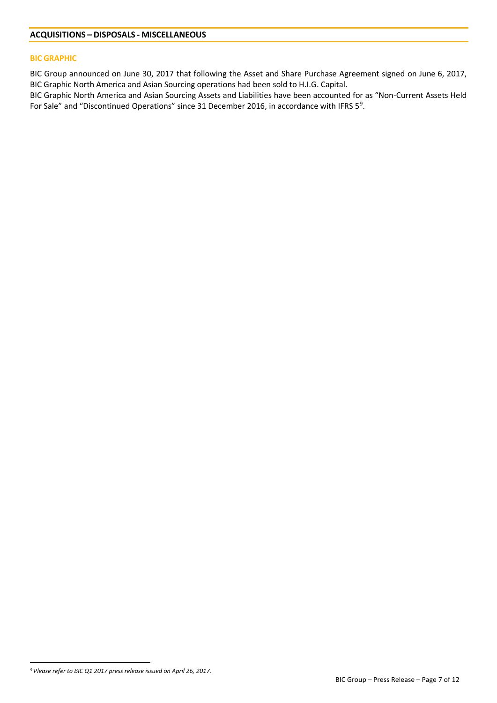### **BIC GRAPHIC**

BIC Group announced on June 30, 2017 that following the Asset and Share Purchase Agreement signed on June 6, 2017, BIC Graphic North America and Asian Sourcing operations had been sold to H.I.G. Capital.

BIC Graphic North America and Asian Sourcing Assets and Liabilities have been accounted for as "Non-Current Assets Held For Sale" and "Discontinued Operations" since 31 December 2016, in accordance with IFRS  $5^9$  $5^9$ .

<span id="page-6-0"></span><sup>&</sup>lt;u>.</u> *<sup>9</sup> Please refer to BIC Q1 2017 press release issued on April 26, 2017.*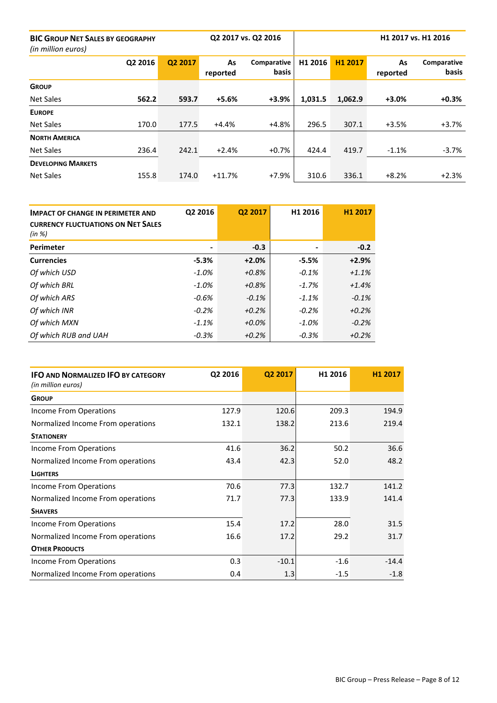| <b>BIC GROUP NET SALES BY GEOGRAPHY</b><br>(in million euros) |         |         |                | Q2 2017 vs. Q2 2016         | H1 2017 vs. H1 2016 |         |                |                      |
|---------------------------------------------------------------|---------|---------|----------------|-----------------------------|---------------------|---------|----------------|----------------------|
|                                                               | Q2 2016 | Q2 2017 | As<br>reported | Comparative<br><b>basis</b> | H1 2016             | H1 2017 | As<br>reported | Comparative<br>basis |
| <b>GROUP</b>                                                  |         |         |                |                             |                     |         |                |                      |
| <b>Net Sales</b>                                              | 562.2   | 593.7   | $+5.6%$        | $+3.9%$                     | 1,031.5             | 1,062.9 | $+3.0%$        | $+0.3%$              |
| <b>EUROPE</b>                                                 |         |         |                |                             |                     |         |                |                      |
| <b>Net Sales</b>                                              | 170.0   | 177.5   | $+4.4%$        | $+4.8%$                     | 296.5               | 307.1   | $+3.5%$        | $+3.7%$              |
| <b>NORTH AMERICA</b>                                          |         |         |                |                             |                     |         |                |                      |
| <b>Net Sales</b>                                              | 236.4   | 242.1   | $+2.4%$        | $+0.7%$                     | 424.4               | 419.7   | $-1.1%$        | $-3.7%$              |
| <b>DEVELOPING MARKETS</b>                                     |         |         |                |                             |                     |         |                |                      |
| <b>Net Sales</b>                                              | 155.8   | 174.0   | $+11.7%$       | $+7.9%$                     | 310.6               | 336.1   | $+8.2%$        | $+2.3%$              |

| <b>IMPACT OF CHANGE IN PERIMETER AND</b><br><b>CURRENCY FLUCTUATIONS ON NET SALES</b><br>(in %) | Q2 2016  | Q2 2017  | H1 2016 | H1 2017 |
|-------------------------------------------------------------------------------------------------|----------|----------|---------|---------|
| Perimeter                                                                                       |          | $-0.3$   |         | $-0.2$  |
| <b>Currencies</b>                                                                               | $-5.3%$  | $+2.0%$  | $-5.5%$ | $+2.9%$ |
| Of which USD                                                                                    | -1.0%    | $+0.8%$  | $-0.1%$ | $+1.1%$ |
| Of which BRL                                                                                    | $-1.0\%$ | $+0.8%$  | $-1.7%$ | $+1.4%$ |
| Of which ARS                                                                                    | $-0.6%$  | $-0.1%$  | $-1.1%$ | $-0.1%$ |
| Of which INR                                                                                    | $-0.2\%$ | $+0.2%$  | $-0.2%$ | $+0.2%$ |
| Of which MXN                                                                                    | $-1.1\%$ | $+0.0\%$ | $-1.0%$ | $-0.2%$ |
| Of which RUB and UAH                                                                            | $-0.3%$  | $+0.2%$  | $-0.3%$ | $+0.2%$ |

| <b>IFO AND NORMALIZED IFO BY CATEGORY</b> | Q2 2016 | Q2 2017 | H1 2016 | H <sub>1</sub> 2017 |
|-------------------------------------------|---------|---------|---------|---------------------|
| (in million euros)                        |         |         |         |                     |
| <b>GROUP</b>                              |         |         |         |                     |
| Income From Operations                    | 127.9   | 120.6   | 209.3   | 194.9               |
| Normalized Income From operations         | 132.1   | 138.2   | 213.6   | 219.4               |
| <b>STATIONERY</b>                         |         |         |         |                     |
| Income From Operations                    | 41.6    | 36.2    | 50.2    | 36.6                |
| Normalized Income From operations         | 43.4    | 42.3    | 52.0    | 48.2                |
| <b>LIGHTERS</b>                           |         |         |         |                     |
| Income From Operations                    | 70.6    | 77.3    | 132.7   | 141.2               |
| Normalized Income From operations         | 71.7    | 77.3    | 133.9   | 141.4               |
| <b>SHAVERS</b>                            |         |         |         |                     |
| Income From Operations                    | 15.4    | 17.2    | 28.0    | 31.5                |
| Normalized Income From operations         | 16.6    | 17.2    | 29.2    | 31.7                |
| <b>OTHER PRODUCTS</b>                     |         |         |         |                     |
| Income From Operations                    | 0.3     | $-10.1$ | $-1.6$  | $-14.4$             |
| Normalized Income From operations         | 0.4     | 1.3     | $-1.5$  | $-1.8$              |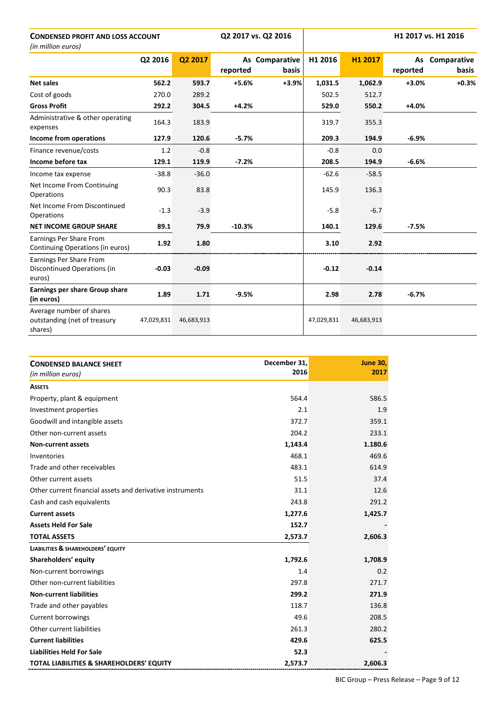| <b>CONDENSED PROFIT AND LOSS ACCOUNT</b><br>(in million euros)      |            |            |          | Q2 2017 vs. Q2 2016     |            |            |                | H1 2017 vs. H1 2016         |
|---------------------------------------------------------------------|------------|------------|----------|-------------------------|------------|------------|----------------|-----------------------------|
|                                                                     | Q2 2016    | Q2 2017    | reported | As Comparative<br>basis | H1 2016    | H1 2017    | As<br>reported | Comparative<br><b>basis</b> |
| <b>Net sales</b>                                                    | 562.2      | 593.7      | $+5.6%$  | $+3.9%$                 | 1,031.5    | 1,062.9    | $+3.0%$        | $+0.3%$                     |
| Cost of goods                                                       | 270.0      | 289.2      |          |                         | 502.5      | 512.7      |                |                             |
| <b>Gross Profit</b>                                                 | 292.2      | 304.5      | $+4.2%$  |                         | 529.0      | 550.2      | +4.0%          |                             |
| Administrative & other operating<br>expenses                        | 164.3      | 183.9      |          |                         | 319.7      | 355.3      |                |                             |
| Income from operations                                              | 127.9      | 120.6      | $-5.7%$  |                         | 209.3      | 194.9      | $-6.9%$        |                             |
| Finance revenue/costs                                               | 1.2        | $-0.8$     |          |                         | $-0.8$     | 0.0        |                |                             |
| Income before tax                                                   | 129.1      | 119.9      | $-7.2%$  |                         | 208.5      | 194.9      | $-6.6%$        |                             |
| Income tax expense                                                  | $-38.8$    | $-36.0$    |          |                         | $-62.6$    | $-58.5$    |                |                             |
| Net Income From Continuing<br>Operations                            | 90.3       | 83.8       |          |                         | 145.9      | 136.3      |                |                             |
| Net Income From Discontinued<br>Operations                          | $-1.3$     | $-3.9$     |          |                         | $-5.8$     | $-6.7$     |                |                             |
| <b>NET INCOME GROUP SHARE</b>                                       | 89.1       | 79.9       | $-10.3%$ |                         | 140.1      | 129.6      | $-7.5%$        |                             |
| Earnings Per Share From<br>Continuing Operations (in euros)         | 1.92       | 1.80       |          |                         | 3.10       | 2.92       |                |                             |
| Earnings Per Share From<br>Discontinued Operations (in<br>euros)    | $-0.03$    | $-0.09$    |          |                         | $-0.12$    | $-0.14$    |                |                             |
| Earnings per share Group share<br>(in euros)                        | 1.89       | 1.71       | $-9.5%$  |                         | 2.98       | 2.78       | $-6.7%$        |                             |
| Average number of shares<br>outstanding (net of treasury<br>shares) | 47,029,831 | 46,683,913 |          |                         | 47,029,831 | 46,683,913 |                |                             |

| <b>CONDENSED BALANCE SHEET</b><br>(in million euros)      | December 31,<br>2016 | <b>June 30,</b><br>2017 |
|-----------------------------------------------------------|----------------------|-------------------------|
| <b>ASSETS</b>                                             |                      |                         |
| Property, plant & equipment                               | 564.4                | 586.5                   |
| Investment properties                                     | 2.1                  | 1.9                     |
| Goodwill and intangible assets                            | 372.7                | 359.1                   |
| Other non-current assets                                  | 204.2                | 233.1                   |
| <b>Non-current assets</b>                                 | 1,143.4              | 1.180.6                 |
| Inventories                                               | 468.1                | 469.6                   |
| Trade and other receivables                               | 483.1                | 614.9                   |
| Other current assets                                      | 51.5                 | 37.4                    |
| Other current financial assets and derivative instruments | 31.1                 | 12.6                    |
| Cash and cash equivalents                                 | 243.8                | 291.2                   |
| <b>Current assets</b>                                     | 1,277.6              | 1,425.7                 |
| <b>Assets Held For Sale</b>                               | 152.7                |                         |
| <b>TOTAL ASSETS</b>                                       | 2,573.7              | 2,606.3                 |
| <b>LIABILITIES &amp; SHAREHOLDERS' EQUITY</b>             |                      |                         |
| Shareholders' equity                                      | 1,792.6              | 1,708.9                 |
| Non-current borrowings                                    | 1.4                  | 0.2                     |
| Other non-current liabilities                             | 297.8                | 271.7                   |
| <b>Non-current liabilities</b>                            | 299.2                | 271.9                   |
| Trade and other payables                                  | 118.7                | 136.8                   |
| Current borrowings                                        | 49.6                 | 208.5                   |
| Other current liabilities                                 | 261.3                | 280.2                   |
| <b>Current liabilities</b>                                | 429.6                | 625.5                   |
| <b>Liabilities Held For Sale</b>                          | 52.3                 |                         |
| TOTAL LIABILITIES & SHAREHOLDERS' EQUITY                  | 2,573.7              | 2,606.3                 |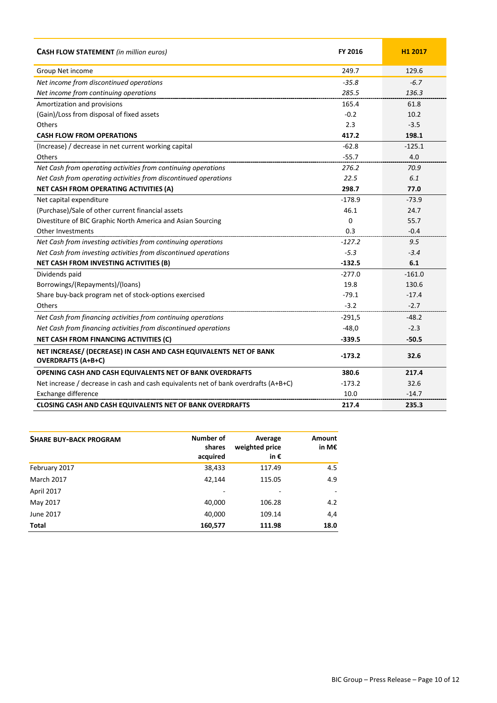| <b>CASH FLOW STATEMENT</b> (in million euros)                                                  | FY 2016  | H1 2017  |
|------------------------------------------------------------------------------------------------|----------|----------|
| Group Net income                                                                               | 249.7    | 129.6    |
| Net income from discontinued operations                                                        | $-35.8$  | $-6.7$   |
| Net income from continuing operations                                                          | 285.5    | 136.3    |
| Amortization and provisions                                                                    | 165.4    | 61.8     |
| (Gain)/Loss from disposal of fixed assets                                                      | $-0.2$   | 10.2     |
| <b>Others</b>                                                                                  | 2.3      | $-3.5$   |
| <b>CASH FLOW FROM OPERATIONS</b>                                                               | 417.2    | 198.1    |
| (Increase) / decrease in net current working capital                                           | $-62.8$  | $-125.1$ |
| <b>Others</b>                                                                                  | $-55.7$  | 4.0      |
| Net Cash from operating activities from continuing operations                                  | 276.2    | 70.9     |
| Net Cash from operating activities from discontinued operations                                | 22.5     | 6.1      |
| NET CASH FROM OPERATING ACTIVITIES (A)                                                         | 298.7    | 77.0     |
| Net capital expenditure                                                                        | $-178.9$ | $-73.9$  |
| (Purchase)/Sale of other current financial assets                                              | 46.1     | 24.7     |
| Divestiture of BIC Graphic North America and Asian Sourcing                                    | 0        | 55.7     |
| Other Investments                                                                              | 0.3      | $-0.4$   |
| Net Cash from investing activities from continuing operations                                  | $-127.2$ | 9.5      |
| Net Cash from investing activities from discontinued operations                                | $-5.3$   | $-3.4$   |
| NET CASH FROM INVESTING ACTIVITIES (B)                                                         | $-132.5$ | 6.1      |
| Dividends paid                                                                                 | $-277.0$ | $-161.0$ |
| Borrowings/(Repayments)/(loans)                                                                | 19.8     | 130.6    |
| Share buy-back program net of stock-options exercised                                          | $-79.1$  | $-17.4$  |
| <b>Others</b>                                                                                  | $-3.2$   | $-2.7$   |
| Net Cash from financing activities from continuing operations                                  | $-291,5$ | $-48.2$  |
| Net Cash from financing activities from discontinued operations                                | $-48,0$  | $-2.3$   |
| NET CASH FROM FINANCING ACTIVITIES (C)                                                         | $-339.5$ | $-50.5$  |
| NET INCREASE/ (DECREASE) IN CASH AND CASH EQUIVALENTS NET OF BANK<br><b>OVERDRAFTS (A+B+C)</b> | $-173.2$ | 32.6     |
| OPENING CASH AND CASH EQUIVALENTS NET OF BANK OVERDRAFTS                                       | 380.6    | 217.4    |
| Net increase / decrease in cash and cash equivalents net of bank overdrafts (A+B+C)            | $-173.2$ | 32.6     |
| Exchange difference                                                                            | 10.0     | $-14.7$  |
| <b>CLOSING CASH AND CASH EQUIVALENTS NET OF BANK OVERDRAFTS</b>                                | 217.4    | 235.3    |

| <b>SHARE BUY-BACK PROGRAM</b> | Number of<br>shares<br>acquired | Average<br>weighted price<br>in $\epsilon$ | Amount<br>in M€ |
|-------------------------------|---------------------------------|--------------------------------------------|-----------------|
| February 2017                 | 38,433                          | 117.49                                     | 4.5             |
| <b>March 2017</b>             | 42,144                          | 115.05                                     | 4.9             |
| April 2017                    |                                 | -                                          |                 |
| May 2017                      | 40,000                          | 106.28                                     | 4.2             |
| June 2017                     | 40,000                          | 109.14                                     | 4,4             |
| Total                         | 160,577                         | 111.98                                     | 18.0            |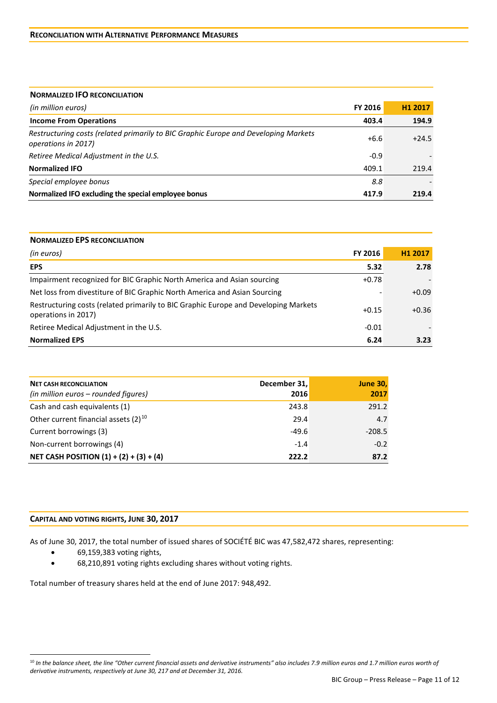| <b>NORMALIZED IFO RECONCILIATION</b>                                                                       |         |         |
|------------------------------------------------------------------------------------------------------------|---------|---------|
| (in million euros)                                                                                         | FY 2016 | H1 2017 |
| <b>Income From Operations</b>                                                                              | 403.4   | 194.9   |
| Restructuring costs (related primarily to BIC Graphic Europe and Developing Markets<br>operations in 2017) | $+6.6$  | $+24.5$ |
| Retiree Medical Adjustment in the U.S.                                                                     | $-0.9$  |         |
| <b>Normalized IFO</b>                                                                                      | 409.1   | 219.4   |
| Special employee bonus                                                                                     | 8.8     |         |
| Normalized IFO excluding the special employee bonus                                                        | 417.9   | 219.4   |

| <b>NORMALIZED EPS RECONCILIATION</b>                                                                       |         |         |  |  |
|------------------------------------------------------------------------------------------------------------|---------|---------|--|--|
| (in euros)                                                                                                 | FY 2016 | H1 2017 |  |  |
| <b>EPS</b>                                                                                                 | 5.32    | 2.78    |  |  |
| Impairment recognized for BIC Graphic North America and Asian sourcing                                     | $+0.78$ |         |  |  |
| Net loss from divestiture of BIC Graphic North America and Asian Sourcing                                  |         | $+0.09$ |  |  |
| Restructuring costs (related primarily to BIC Graphic Europe and Developing Markets<br>operations in 2017) | $+0.15$ | $+0.36$ |  |  |
| Retiree Medical Adjustment in the U.S.                                                                     |         |         |  |  |
| <b>Normalized EPS</b>                                                                                      | 6.24    | 3.23    |  |  |

| <b>NET CASH RECONCILIATION</b><br>(in million euros – rounded figures) | December 31,<br>2016 | <b>June 30,</b><br>2017 |
|------------------------------------------------------------------------|----------------------|-------------------------|
| Cash and cash equivalents (1)                                          | 243.8                | 291.2                   |
| Other current financial assets $(2)^{10}$                              | 29.4                 | 4.7                     |
| Current borrowings (3)                                                 | $-49.6$              | $-208.5$                |
| Non-current borrowings (4)                                             | $-1.4$               | $-0.2$                  |
| NET CASH POSITION $(1) + (2) + (3) + (4)$                              | 222.2                | 87.2                    |

# **CAPITAL AND VOTING RIGHTS, JUNE 30, 2017**

As of June 30, 2017, the total number of issued shares of SOCIÉTÉ BIC was 47,582,472 shares, representing:

• 69,159,383 voting rights,

<u>.</u>

• 68,210,891 voting rights excluding shares without voting rights.

Total number of treasury shares held at the end of June 2017: 948,492.

<span id="page-10-0"></span><sup>10</sup> *In the balance sheet, the line "Other current financial assets and derivative instruments" also includes 7.9 million euros and 1.7 million euros worth of derivative instruments, respectively at June 30, 217 and at December 31, 2016.*